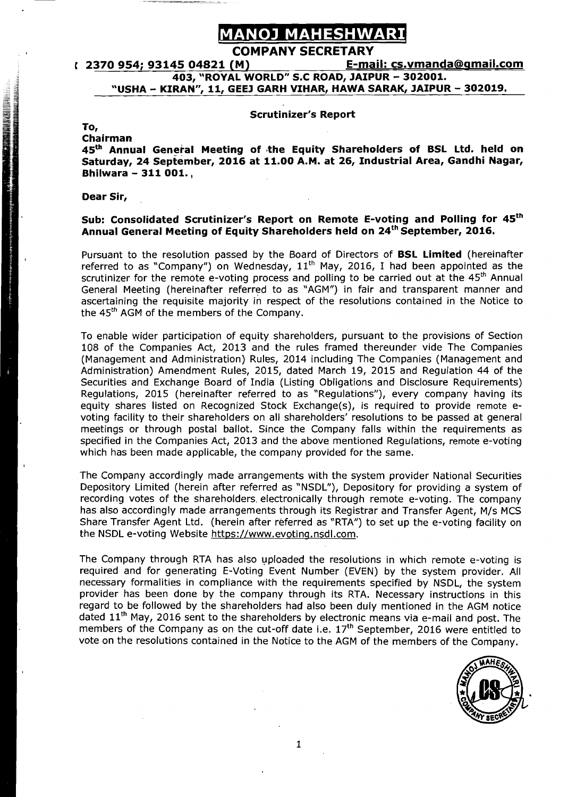## **ANOJ MAHESHWARI<br>COMPANY SECRETARY<br>(M) F-mail: cs.vmanda@gmail.com** <sup>r</sup>**2370 954; 93145 04821 (M) E-mail: cs.vmanda@amaiI.com 403, "ROYAL WORLD" S.C ROAD, JAIPUR** - **302001. "USHA** - **KIRAN", 11, GEEJ GARH VIHAR, HAWA SARAK, JAIPUR** - **302019.**

#### **Scrutinizer's Report**

#### **To,**

#### **Chairman**

45<sup>th</sup> Annual General Meeting of the Equity Shareholders of BSL Ltd. held on **Saturday, 24 September, 2016 at 11.00 A.M. at 26, Industrial Area, Gandhi Nagar, Bhilwara** - **311 001.,** 

#### **Dear Sir,**

#### **Sub: Consolidated Scrutinizer's Report on Remote E-voting and Polling for 45th**  Annual General Meeting of Equity Shareholders held on 24<sup>th</sup> September, 2016.

Pursuant to the resolution passed by the Board of Directors of **BSL Limited** (hereinafter referred to as "Company") on Wednesday, 11<sup>th</sup> May, 2016, I had been appointed as the scrutinizer for the remote e-voting process and polling to be carried out at the  $45<sup>th</sup>$  Annual General Meeting (hereinafter referred to as "AGIY") in fair and transparent manner and ascertaining the requisite majority in respect of the resolutions contained in the Notice to the 45<sup>th</sup> AGM of the members of the Company.

To enable wider participation of equity shareholders, pursuant to the provisions of Section 108 of the Companies Act, 2013 and the rules framed thereunder vide The Companies (Management and Administration) Rules, 2014 including The Companies (Management and Administration) Amendment Rules, 2015, dated March 19, 2015 and Regulation 44 of the Securities and Exchange Board of India (Listing Obligations and Disclosure Requirements) Regulations, 2015 (hereinafter referred to as "Regulations"), every company having its equity shares listed on Recognized Stock Exchange(s), is required to provide remote evoting facility to their shareholders on all shareholders' resolutions to be passed at general meetings or through postal ballot. Since the Company falls within the requirements as specified in the Companies Act, 2013 and the above mentioned Regulations, remote e-voting which has been made applicable, the company provided for the same.

The Company accordingly made arrangements with the system provider National Securities Depository Limited (herein after referred as "NSDL"), Depository for providing a system of recording votes of the shareholders. electronically through remote e-voting. The company has also accordingly made arrangements through its Registrar and Transfer Agent, M/s MCS Share Transfer Agent Ltd. (herein after referred as "RTA") to set up the e-voting facility on the NSDL e-voting Website https://www.evoting.nsdl.com.

The Company through RTA has also uploaded the resolutions in which remote e-voting is required and for generating E-Voting Event Number (EVEN) by the system provider. All necessary formalities in compliance with the requirements specified by NSDL, the system provider has been done by the company through its RTA. Necessary instructions in this regard to be followed by the shareholders had also been duly mentioned in the AGM notice dated  $11<sup>th</sup>$  May, 2016 sent to the shareholders by electronic means via e-mail and post. The members of the Company as on the cut-off date i.e.  $17<sup>th</sup>$  September, 2016 were entitled to vote on the resolutions contained in the Notice to the AGM of the members of the Company.

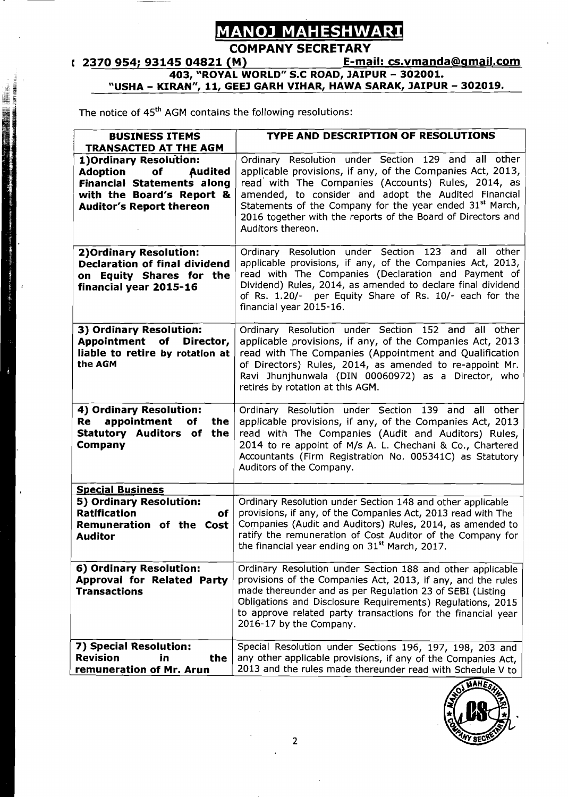## <u>MANOJ MAHESHWARI</u>

## **COMPANY SECRETARY**<br>
(2370 954; 93145 04821 (M) E-mail: cs.ymanda@gmail.com **1 2370 954; 93145 04821 (M)** <u>E-mail: cs.vmanda@gmail.com</u><br>403, "ROYAL WORLD" S.C ROAD, JAIPUR - **302001. "USHA** - **KIRAN", 11, GEEJ GARH VIHAR, HAWA SARAK, JAIPUR** - **302019.**

The notice of 45<sup>th</sup> AGM contains the following resolutions:

| <b>BUSINESS ITEMS</b>                                                                                                                                            | <b>TYPE AND DESCRIPTION OF RESOLUTIONS</b>                                                                                                                                                                                                                                                                                                                                                   |
|------------------------------------------------------------------------------------------------------------------------------------------------------------------|----------------------------------------------------------------------------------------------------------------------------------------------------------------------------------------------------------------------------------------------------------------------------------------------------------------------------------------------------------------------------------------------|
| <b>TRANSACTED AT THE AGM</b>                                                                                                                                     |                                                                                                                                                                                                                                                                                                                                                                                              |
| 1) Ordinary Resolution:<br><b>Audited</b><br>Adoption<br>of<br><b>Financial Statements along</b><br>with the Board's Report &<br><b>Auditor's Report thereon</b> | Ordinary Resolution under Section 129 and all other<br>applicable provisions, if any, of the Companies Act, 2013,<br>read with The Companies (Accounts) Rules, 2014, as<br>amended, to consider and adopt the Audited Financial<br>Statements of the Company for the year ended 31 <sup>st</sup> March,<br>2016 together with the reports of the Board of Directors and<br>Auditors thereon. |
| 2) Ordinary Resolution:<br><b>Declaration of final dividend</b><br>on Equity Shares for the<br>financial year 2015-16                                            | Ordinary Resolution under Section 123 and all other<br>applicable provisions, if any, of the Companies Act, 2013,<br>read with The Companies (Declaration and Payment of<br>Dividend) Rules, 2014, as amended to declare final dividend<br>of Rs. 1.20/- per Equity Share of Rs. 10/- each for the<br>financial year 2015-16.                                                                |
| 3) Ordinary Resolution:<br>Appointment of<br>Director,<br>liable to retire by rotation at<br>the AGM                                                             | Ordinary Resolution under Section 152 and all other<br>applicable provisions, if any, of the Companies Act, 2013<br>read with The Companies (Appointment and Qualification<br>of Directors) Rules, 2014, as amended to re-appoint Mr.<br>Ravi Jhunjhunwala (DIN 00060972) as a Director, who<br>retires by rotation at this AGM.                                                             |
| 4) Ordinary Resolution:<br>appointment<br>Re<br>of<br>the<br>Statutory Auditors of the<br>Company                                                                | Ordinary Resolution under Section 139 and all other<br>applicable provisions, if any, of the Companies Act, 2013<br>read with The Companies (Audit and Auditors) Rules,<br>2014 to re appoint of M/s A. L. Chechani & Co., Chartered<br>Accountants (Firm Registration No. 005341C) as Statutory<br>Auditors of the Company.                                                                 |
| <b>Special Business</b>                                                                                                                                          |                                                                                                                                                                                                                                                                                                                                                                                              |
| 5) Ordinary Resolution:<br><b>Ratification</b><br>οf<br>Remuneration of the Cost<br><b>Auditor</b>                                                               | Ordinary Resolution under Section 148 and other applicable<br>provisions, if any, of the Companies Act, 2013 read with The<br>Companies (Audit and Auditors) Rules, 2014, as amended to<br>ratify the remuneration of Cost Auditor of the Company for<br>the financial year ending on 31 <sup>st</sup> March, 2017.                                                                          |
| 6) Ordinary Resolution:<br>Approval for Related Party<br><b>Transactions</b>                                                                                     | Ordinary Resolution under Section 188 and other applicable<br>provisions of the Companies Act, 2013, if any, and the rules<br>made thereunder and as per Regulation 23 of SEBI (Listing<br>Obligations and Disclosure Requirements) Regulations, 2015<br>to approve related party transactions for the financial year<br>2016-17 by the Company.                                             |
| 7) Special Resolution:<br><b>Revision</b><br>the<br>in<br>remuneration of Mr. Arun                                                                               | Special Resolution under Sections 196, 197, 198, 203 and<br>any other applicable provisions, if any of the Companies Act,<br>2013 and the rules made thereunder read with Schedule V to                                                                                                                                                                                                      |

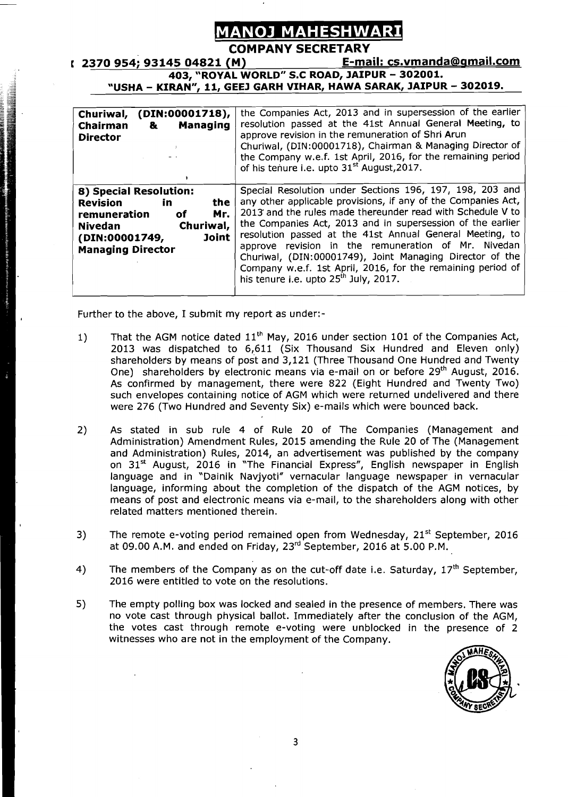## **NOJ MAHESHWARI**

**COMPANY SECRETARY**<br>(M) F-mail: cs.vmanda@gmail.com r **2370 954; 93145 04821 (M) E-mail: cs.vmandabamail.com 403, "ROYAL WORLD" S.C ROAD, JAIPUR** - **302001.**  "USHA - KIRAN", 11, GEEJ GARH VIHAR, HAWA SARAK, JAIPUR - 302019.

| Churiwal, (DIN:00001718),<br><b>Managing</b><br>Chairman<br>&<br><b>Director</b>                                                                                    | the Companies Act, 2013 and in supersession of the earlier<br>resolution passed at the 41st Annual General Meeting, to<br>approve revision in the remuneration of Shri Arun<br>Churiwal, (DIN:00001718), Chairman & Managing Director of<br>the Company w.e.f. 1st April, 2016, for the remaining period<br>of his tenure i.e. upto 31 <sup>st</sup> August, 2017.                                                                                                                                                                             |
|---------------------------------------------------------------------------------------------------------------------------------------------------------------------|------------------------------------------------------------------------------------------------------------------------------------------------------------------------------------------------------------------------------------------------------------------------------------------------------------------------------------------------------------------------------------------------------------------------------------------------------------------------------------------------------------------------------------------------|
| 8) Special Resolution:<br>the<br>Revision<br>in.<br>Mr.<br>οf<br>remuneration<br>Churiwal,<br><b>Nivedan</b><br>Joint<br>(DIN:00001749,<br><b>Managing Director</b> | Special Resolution under Sections 196, 197, 198, 203 and<br>any other applicable provisions, if any of the Companies Act,<br>2013 and the rules made thereunder read with Schedule V to<br>the Companies Act, 2013 and in supersession of the earlier<br>resolution passed at the 41st Annual General Meeting, to<br>approve revision in the remuneration of Mr. Nivedan<br>Churiwal, (DIN:00001749), Joint Managing Director of the<br>Company w.e.f. 1st April, 2016, for the remaining period of<br>his tenure i.e. upto $25th$ July, 2017. |

Further to the above, I submit my report as under:-

I

- 1) That the AGM notice dated  $11<sup>th</sup>$  May, 2016 under section 101 of the Companies Act, 2013 was dispatched to 6,611 (Six Thousand Six Hundred and Eleven only) shareholders by means of post and 3,121 (Three Thousand One Hundred and Twenty One) shareholders by electronic means via e-mail on or before 29<sup>th</sup> August, 2016. As confirmed by management, there were 822 (Eight Hundred and Twenty Two) such envelopes containing notice of AGM which were returned undelivered and there were 276 (Two Hundred and Seventy Six) e-mails which were bounced back.
- 2) As stated in sub rule 4 of Rule 20 of The Companies (Management and Administration) Amendment Rules, 2015 amending the Rule 20 of The (Management and Administration) Rules, 2014, an advertisement was published by the company on  $31<sup>st</sup>$  August, 2016 in "The Financial Express", English newspaper in English language and in "Dainik Navjyoti" vernacular language newspaper in vernacular language, informing about the completion of the dispatch of the AGM notices, by means of post and electronic means via e-mail, to the shareholders along with other related matters mentioned therein.
- 3) The remote e-voting period remained open from Wednesday, 21<sup>st</sup> September, 2016 at 09.00 A.M. and ended on Friday, 23rd September, 2016 at 5.00 P.M.
- 4) The members of the Company as on the cut-off date i.e. Saturday,  $17<sup>th</sup>$  September, 2016 were entitled to vote on the resolutions.
- 5) The empty polling box was locked and sealed in the presence of members. There was no vote cast through physical ballot. Immediately after the conclusion of the AGM, the votes cast through remote e-voting were unblocked in the presence of 2 witnesses who are not in the employment of the Company.

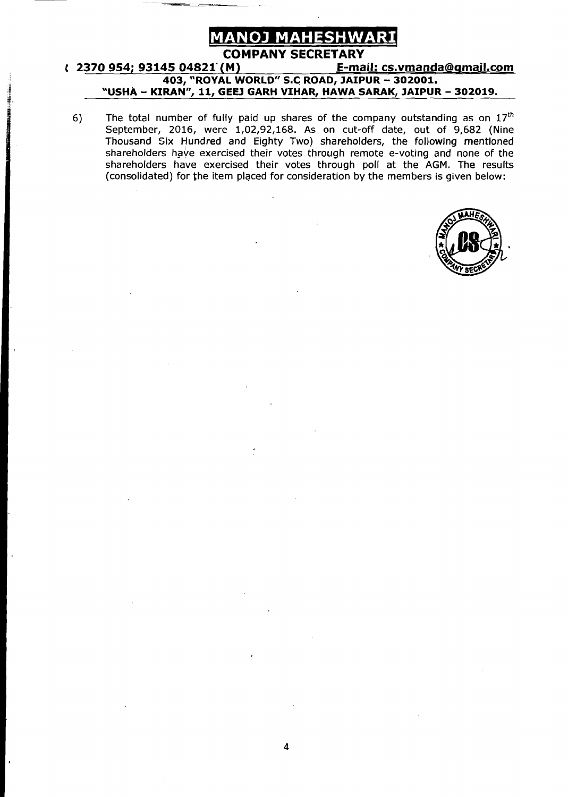

#### **COMPANY SECRETARY**<br>(M) F-mail: cs.vmanda@gmail.com **t 2370 954; 93145 04821 (M) 403, "ROYAL WORLD" S.C. ROAD, JAIPUR** - **302001. "USHA** - **KIRAN", 11, GEEJ GARH VIHAR, HAWA SARAK, JAIPUR** - **302019.**

6) The total number of fully paid up shares of the company outstanding as on **17~~**  September, 2016, were 1,02,92,168. As on cut-off date, out of 9,682 (Nine Thousand Six Hundred and Eighty Two) shareholders, the following mentioned shareholders have exercised their votes through remote e-voting and none of the shareholders have exercised their votes through poll at the AGM. The results (consolidated) for the item placed for consideration by the members is given below:

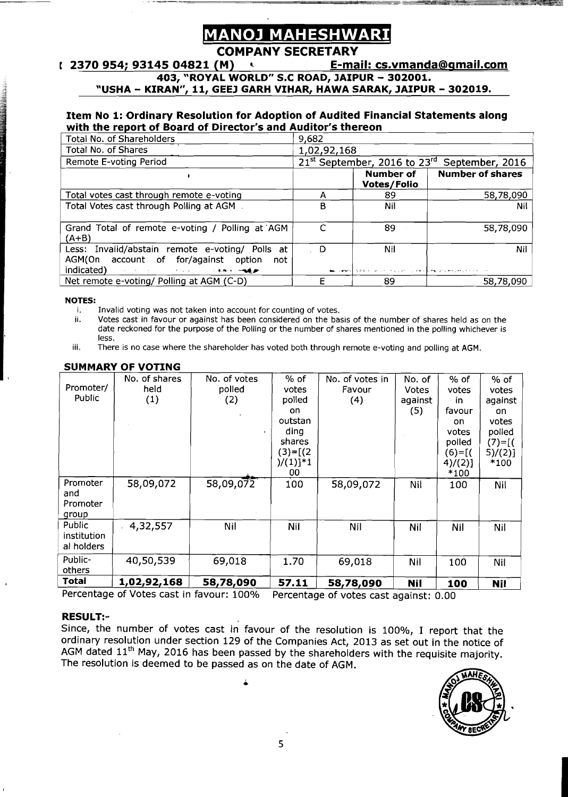# **AHESHW**

#### **COMPANY SECRETARY**<br><u>E-ma =</u> 1 . 2370 954; 93145 04821 (M) **t** 2370 **E-mail: cs.vmanda@gmail.com**

**403, "ROYAL WORLD" S.C ROAD, JAIPUR** - **302001.** 

**"USHA** - **KIRAN". 11. GEEJ GARH VIHAR. HAWA SARAK. JAIPUR** - **302019.** 

#### **Item No 1: Ordinary Resolution for Adoption of Audited Financial Statements along with the report of Board of Director's and Auditor's thereon**

| Total No. of Shareholders                                                                                                                                                                                                                                                                                                        | 9,682       |                                                                    |                         |  |  |
|----------------------------------------------------------------------------------------------------------------------------------------------------------------------------------------------------------------------------------------------------------------------------------------------------------------------------------|-------------|--------------------------------------------------------------------|-------------------------|--|--|
| <b>Total No. of Shares</b>                                                                                                                                                                                                                                                                                                       | 1,02,92,168 |                                                                    |                         |  |  |
| Remote E-voting Period                                                                                                                                                                                                                                                                                                           |             | 21 <sup>st</sup> September, 2016 to 23 <sup>rd</sup>               | September, 2016         |  |  |
|                                                                                                                                                                                                                                                                                                                                  |             | Number of<br><b>Votes/Folio</b>                                    | <b>Number of shares</b> |  |  |
| Total votes cast through remote e-voting                                                                                                                                                                                                                                                                                         | А           | 89                                                                 | 58,78,090               |  |  |
| Total Votes cast through Polling at AGM .                                                                                                                                                                                                                                                                                        | в           | Nil                                                                | Nil                     |  |  |
| Grand Total of remote e-voting / Polling at AGM<br>(A+B)                                                                                                                                                                                                                                                                         | C           | 89                                                                 | 58,78,090               |  |  |
| Less: Invalid/abstain remote e-voting/ Polls at<br>AGM(On account of for/against option<br>not<br>indicated) and the contract of the state of the state of the state of the state of the state of the state of the state of the state of the state of the state of the state of the state of the state of the state of the state | . D         | Nil<br>about seems to the common previous and are presented to the | Nil                     |  |  |
| Net remote e-voting/ Polling at AGM (C-D)                                                                                                                                                                                                                                                                                        |             | 89                                                                 | 58,78,090               |  |  |

## **NOTES:**

- i. Invalid voting was not taken into account for counting of votes.<br>ii. Votes cast in favour or against has been considered on the ba
- Votes cast in favour or against has been considered on the basis of the number of shares held as on the date reckoned for the purpose of the Polling or the number of shares mentioned in the polling whichever is less.
- iii. There is no case where the shareholder has voted both through remote e-voting and polling at AGM.

|--|

|             | No. of shares | No. of votes | % of        | No. of votes in | No. of     | % of       | % of       |
|-------------|---------------|--------------|-------------|-----------------|------------|------------|------------|
| Promoter/   | held.         | polled       | votes       | Favour          | Votes      | votes      | votes      |
| Public      | (1)           | (2)          | polled      | (4)             | against    | in         | against    |
|             |               |              | on          |                 | (5)        | favour     | on.        |
|             |               |              | outstan     |                 |            | on.        | votes      |
|             |               |              | ding        |                 |            | votes      | polled     |
|             |               |              | shares      |                 |            | polled     | $(7) = [($ |
|             |               |              | $(3)=[(2)$  |                 |            | $(6)=$ [(  | 5)/(2)]    |
|             |               |              | $)/(1)]$ *1 |                 |            | $4)/(2)$ ] | *100       |
|             |               |              | 00          |                 |            | *100       |            |
| Promoter    | 58,09,072     | 58,09,072    | 100         | 58,09,072       | Nil        | 100        | Nil        |
| and         |               |              |             |                 |            |            |            |
| Promoter    |               |              |             |                 |            |            |            |
| group       |               |              |             |                 |            |            |            |
| Public      | 4,32,557      | Nil          | Nil         | Nil             | Nil        | Nil        | Nil        |
| institution |               |              |             |                 |            |            |            |
| al holders  |               |              |             |                 |            |            |            |
| Public-     | 40,50,539     | 69,018       | 1.70        | 69,018          | Nil        | 100        | Nil        |
| others      |               |              |             |                 |            |            |            |
| Total       | 1,02,92,168   | 58,78,090    | 57.11       | 58,78,090       | <b>Nil</b> | 100        | <b>Nil</b> |

Percentage of Votes cast in favour: 100% Percentage of votes cast against: 0.00

 $\bullet$ 

#### **RESULT:-**

RESULT:-<br>Since, the number of votes cast in favour of the resolution is 100%, I report that the ordinary resolution under section 129 of the Companies Act, 2013 as set out in the notice of AGM dated 11<sup>th</sup> May, 2016 has been passed by the shareholders with the requisite majority. Since, the number of votes cast in favour of the resolution is 100%, I report that the ordinary resolution under section 129 of the Companies Act, 2013 as set out in the notice of AGM dated  $11^{\text{th}}$  May, 2016 has been p The resolution is deemed to be passed as on the date of AGM.

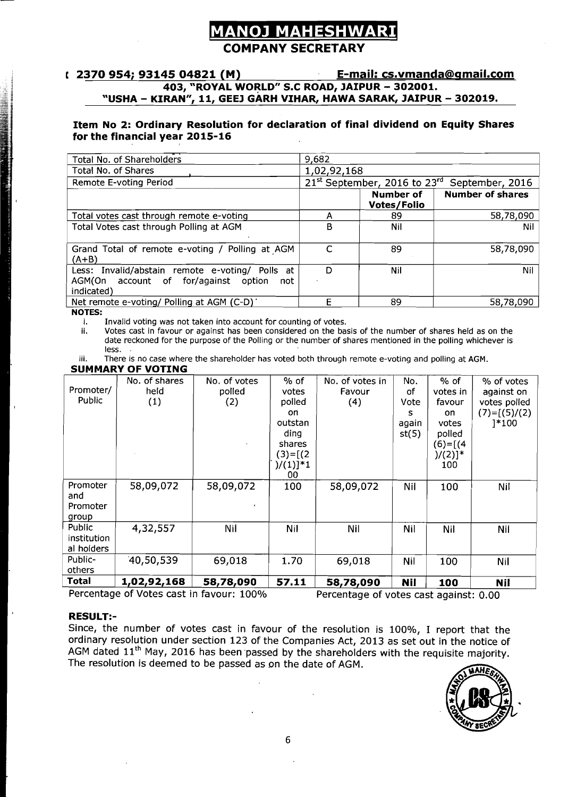## <u>ANOJ MAHESHWARI</u> **COMPANY SECRETARY**

#### **t 2370 954; 93145 04821 (M)** E-mail: cs.vmanda@gmail.com **403, 'ROYAL WORLD" S.C ROAD, JAIPUR** - **302001.**  "USHA - KIRAN", 11, GEEJ GARH VIHAR, HAWA SARAK, JAIPUR - 302019.

#### **Item No 2: Ordinary Resolution for declaration of final dividend on Equity Shares for the financial year 2015-16**

| <b>Total No. of Shareholders</b>                                                                                | 9,682       |                                                      |                         |
|-----------------------------------------------------------------------------------------------------------------|-------------|------------------------------------------------------|-------------------------|
| <b>Total No. of Shares</b>                                                                                      | 1,02,92,168 |                                                      |                         |
| Remote E-voting Period                                                                                          |             | 21 <sup>st</sup> September, 2016 to 23 <sup>rd</sup> | September, 2016         |
|                                                                                                                 |             | Number of<br>Votes/Folio                             | <b>Number of shares</b> |
| Total votes cast through remote e-voting                                                                        | А           | 89                                                   | 58,78,090               |
| Total Votes cast through Polling at AGM                                                                         | в           | Nil                                                  | Nil                     |
| Grand Total of remote e-voting / Polling at AGM<br>$(A+B)$                                                      |             | 89                                                   | 58,78,090               |
| Less: Invalid/abstain remote e-voting/ Polls at<br>AGM(On account of for/against<br>option<br>not<br>indicated) | D           | Nil                                                  | Nil                     |
| Net remote e-voting/ Polling at AGM (C-D)                                                                       | F           | 89                                                   | 58,78,090               |

**NOTES:** 

i. Invalid voting was not taken into account for counting of votes.<br>ii. Votes cast in favour or against has been considered on the ba-

Votes cast in favour or against has been considered on the basis of the number of shares held as on the date reckoned for the purpose of the Polling or the number of shares mentioned in the polling whichever is less. .

iii. There is no case where the shareholder has voted both through remote e-voting and polling at AGM.

#### **SUMMARY OF VOTING**

|             | No. of shares | No. of votes | $%$ of      | No. of votes in | No.        | $%$ of                | % of votes     |
|-------------|---------------|--------------|-------------|-----------------|------------|-----------------------|----------------|
| Promoter/   | held          | polled       | votes       | Favour          | of         | votes in              | against on     |
| Public      | (1)           | (2)          | polled      | (4)             | Vote       | favour                | votes polled   |
|             |               |              | on.         |                 | s          | on                    | $(7)=[(5)/(2)$ |
|             |               |              | outstan     |                 | again      | votes                 | 1*100          |
|             |               |              | ding        |                 | st(5)      | polled                |                |
|             |               |              | shares      |                 |            | $(6)=[(4)$            |                |
|             |               |              | $(3)=[(2)$  |                 |            | $)/(2)]$ <sup>*</sup> |                |
|             |               |              | $)/(1)]$ *1 |                 |            | 100                   |                |
|             |               |              | 00          |                 |            |                       |                |
| Promoter    | 58,09,072     | 58,09,072    | 100         | 58,09,072       | Nil        | 100                   | Nil            |
| and         |               |              |             |                 |            |                       |                |
| Promoter    |               |              |             |                 |            |                       |                |
| group       |               |              |             |                 |            |                       |                |
| Public      | 4,32,557      | Nil          | Nil         | Nil             | Nil        | Nil                   | Nil            |
| institution |               |              |             |                 |            |                       |                |
| al holders  |               |              |             |                 |            |                       |                |
| Public-     | 40,50,539     | 69,018       | 1.70        | 69,018          | <b>Nil</b> | 100                   | Nil            |
| others      |               |              |             |                 |            |                       |                |
| Total       | 1,02,92,168   | 58,78,090    | 57.11       | 58,78,090       | <b>Nil</b> | 100                   | <b>Nil</b>     |

Percentage of Votes cast in favour: 100% Percentage of votes cast against: 0.00

#### **RESULT:-**

Since, the number of votes cast in favour of the resolution is 100%, I report that the ordinary resolution under section 123 of the Companies Act, 2013 as set out in the notice of AGM dated 11<sup>th</sup> May, 2016 has been passed by the shareholders with the requisite majority. The resolution is deemed to be passed as on the date of AGM.

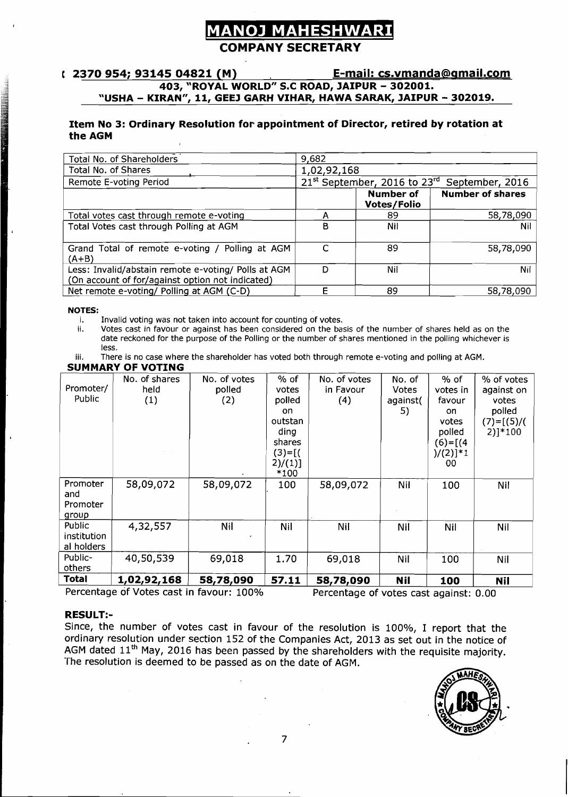## **NOJ MAHESHWAR COMPANY SECRETARY**

#### t 2370 954; 93145 04821 (M) **E-mail: cs.vmanda@gmail.com 403, "ROYAL WORLD" S.C ROAD, JAIPUR** - **302001. "USHA** - **KIRAN". 11, GEEJ GARH VIHAR, HAWA SARAK, JAIPUR** - **302019.**

#### **Item No 3: Ordinary Resolution for appointment of Director, retired by rotation at the AGM**

| <b>Total No. of Shareholders</b>                                                                        | 9,682       |                                        |                         |  |  |
|---------------------------------------------------------------------------------------------------------|-------------|----------------------------------------|-------------------------|--|--|
| Total No. of Shares                                                                                     | 1,02,92,168 |                                        |                         |  |  |
| Remote E-voting Period                                                                                  |             | 21st September, 2016 to 23rd           | September, 2016         |  |  |
|                                                                                                         |             | <b>Number of</b><br><b>Votes/Folio</b> | <b>Number of shares</b> |  |  |
| Total votes cast through remote e-voting                                                                |             | 89                                     | 58,78,090               |  |  |
| Total Votes cast through Polling at AGM                                                                 | 8           | Nil                                    | Nil                     |  |  |
| Grand Total of remote e-voting / Polling at AGM<br>$(A+B)$                                              |             | 89                                     | 58,78,090               |  |  |
| Less: Invalid/abstain remote e-voting/ Polls at AGM<br>(On account of for/against option not indicated) | D           | Nil                                    | Nil                     |  |  |
| Net remote e-voting/ Polling at AGM (C-D)                                                               |             | 89                                     | 58,78,090               |  |  |

#### **NOTES:**

i. Invalid voting was not taken into account for counting of votes.<br>ii. Votes cast in favour or against has been considered on the ba Votes cast in favour or against has been considered on the basis of the number of shares held as on the date reckoned for the purpose of the Polling or the number of shares mentioned in the polling whichever is less.

#### **SUMMARY OF VOTING**

| less.                                | adic reckvired for the purpose or the rolling or the number or shares mentioned in the politiq whichever is |                               |                                                                                             |                                  |                                   |                                                                                           |                                                                           |
|--------------------------------------|-------------------------------------------------------------------------------------------------------------|-------------------------------|---------------------------------------------------------------------------------------------|----------------------------------|-----------------------------------|-------------------------------------------------------------------------------------------|---------------------------------------------------------------------------|
| iii.                                 | There is no case where the shareholder has voted both through remote e-voting and polling at AGM.           |                               |                                                                                             |                                  |                                   |                                                                                           |                                                                           |
|                                      | <b>SUMMARY OF VOTING</b>                                                                                    |                               |                                                                                             |                                  |                                   |                                                                                           |                                                                           |
| Promoter/<br>Public                  | No. of shares<br>held<br>(1)                                                                                | No. of votes<br>polled<br>(2) | $%$ of<br>votes<br>polled<br>on<br>outstan<br>ding<br>shares<br>$(3)=[($<br>2)/(1)]<br>*100 | No. of votes<br>in Favour<br>(4) | No. of<br>Votes<br>against(<br>5) | $%$ of<br>votes in<br>favour<br>on.<br>votes<br>polled<br>$(6)=[(4)$<br>$)/(2)]$ *1<br>00 | % of votes<br>against on<br>votes<br>polled<br>$(7)=[(5)/($<br>$2)$ ]*100 |
| Promoter<br>and<br>Promoter<br>group | 58,09,072                                                                                                   | 58,09,072                     | 100                                                                                         | 58,09,072                        | Nil                               | 100                                                                                       | Nil                                                                       |
| Public<br>institution<br>al holders  | 4,32,557                                                                                                    | Nil                           | Nil                                                                                         | Nil                              | Nil                               | <b>Nil</b>                                                                                | Nil                                                                       |
| Public-<br>others                    | 40,50,539                                                                                                   | 69,018                        | 1.70                                                                                        | 69,018                           | Nil                               | 100                                                                                       | Nil                                                                       |
| <b>Total</b>                         | 1,02,92,168                                                                                                 | 58,78,090                     | 57.11                                                                                       | 58,78,090                        | <b>Nil</b>                        | 100                                                                                       | <b>Nil</b>                                                                |

Percentage of Votes cast in favour: 100% Percentage of votes cast against: 0.00

#### **RESULT:-**

Since, the number of votes cast in favour of the resolution is 100%, I report that the ordinary resolution under section 152 of the Companies Act, 2013 as set out in the notice of AGM dated  $11<sup>th</sup>$  May, 2016 has been passed by the shareholders with the requisite majority. The resolution is deemed to be passed as on the date of AGM.

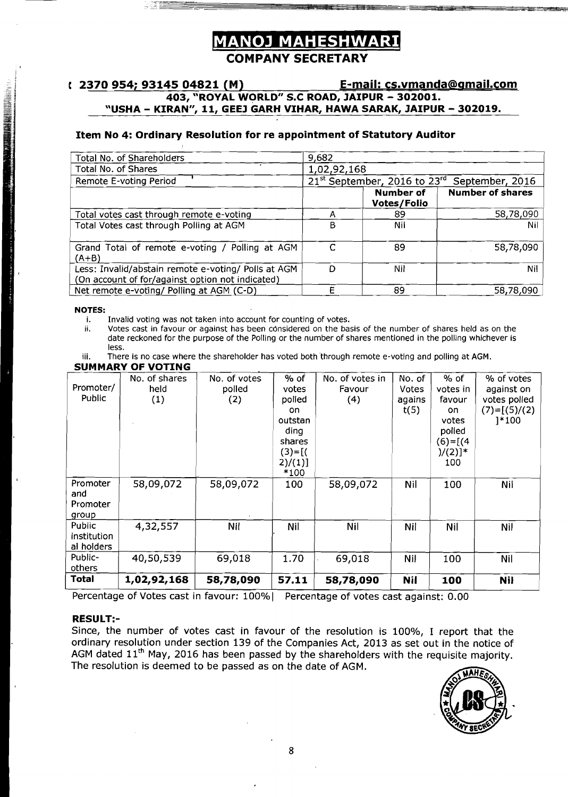# **MANOJ MAHESHWARI**

**COMPANY SECRETARY** 

### **1 2370 954; 93145 04821 (M) E-mail: cs.vmanda6amail.com 403, "ROYAL WORLD" S.C ROAD, JAIPUR** - **302001. 'USHA** - **KIRAN"", 11, GEEJ GARH VIHAR, HAWA SARAK, JAIPUR** - **302019.**

#### **Item No 4: Ordinary Resolution for re appointment of Statutory Auditor**

| Total No. of Shareholders                                                                               | 9,682       |                                                      |                 |
|---------------------------------------------------------------------------------------------------------|-------------|------------------------------------------------------|-----------------|
| Total No. of Shares                                                                                     | 1,02,92,168 |                                                      |                 |
| Remote E-voting Period                                                                                  |             | 21 <sup>st</sup> September, 2016 to 23 <sup>rd</sup> | September, 2016 |
|                                                                                                         |             | <b>Number of shares</b>                              |                 |
| Total votes cast through remote e-voting                                                                |             | 89                                                   | 58,78,090       |
| Total Votes cast through Polling at AGM                                                                 | в           | Nil                                                  | Nil             |
| Grand Total of remote e-voting / Polling at AGM<br>(A+B)                                                |             | 89                                                   | 58,78,090       |
| Less: Invalid/abstain remote e-voting/ Polls at AGM<br>(On account of for/against option not indicated) | D           | Nil                                                  | Nil             |
| Net remote e-voting/ Polling at AGM (C-D)                                                               |             | 89                                                   | 58,78,090       |

**NOTES:** 

i. Invalid voting was not taken into account for counting of votes.<br>ii. Votes cast in favour or against has been considered on the ba Votes cast in favour or against has been considered on the basis of the number of shares held as on the date reckoned for the purpose of the Polling or the number of shares mentioned in the polling whichever is less.

iii. There is no case where the shareholder has voted both through remote e-voting and polling at AGM.

#### **SUMMARY OF VOTING**

| JUIIIMNI VI  | <b>TUTTLA</b> |              |          |                 |              |            |                |
|--------------|---------------|--------------|----------|-----------------|--------------|------------|----------------|
|              | No. of shares | No. of votes | % of     | No. of votes in | No. of       | $%$ of     | % of votes     |
| Promoter/    | held          | polled       | votes    | Favour          | <b>Votes</b> | votes in   | against on     |
| Public       | (1)           | (2)          | polled   | (4)             | agains       | favour     | votes polled   |
|              |               |              | on.      |                 | t(5)         | on.        | $(7)=[(5)/(2)$ |
|              |               |              | outstan  |                 |              | votes      | 1*100          |
|              |               |              | ding     |                 |              | polled     |                |
|              |               |              | shares   |                 |              | $(6)=[(4)$ |                |
|              |               |              | $(3)=[($ |                 |              | $)/(2)]$ * |                |
|              |               |              | 2)/(1)]  |                 |              | 100        |                |
|              |               |              | $*100$   |                 |              |            |                |
| Promoter     | 58,09,072     | 58,09,072    | 100      | 58,09,072       | Nil          | 100        | Nil            |
| and          |               |              |          |                 |              |            |                |
| Promoter     |               |              |          |                 |              |            |                |
| group        |               |              |          |                 |              |            |                |
| Public       | 4,32,557      | Nil          | Nil      | Nil             | Nil          | Nil        | <b>Nil</b>     |
| institution  |               |              |          |                 |              |            |                |
| al holders   |               |              |          |                 |              |            |                |
| Public-      | 40,50,539     | 69,018       | 1.70     | 69,018          | Nil          | 100        | Nil            |
| others       |               |              |          |                 |              |            |                |
| <b>Total</b> | 1,02,92,168   | 58,78,090    | 57,11    | 58,78,090       | <b>Nil</b>   | 100        | <b>Nil</b>     |

Percentage of Votes cast in favour: 100% | Percentage of votes cast against: 0.00

#### **RESULT:-**

Since, the number of votes cast in favour of the resolution is 100%, I report that the ordinary resolution under section 139 of the Companies Act, 2013 as set out in the notice of AGM dated  $11<sup>th</sup>$  May, 2016 has been passed by the shareholders with the requisite majority. The resolution is deemed to be passed as on the date of AGM.

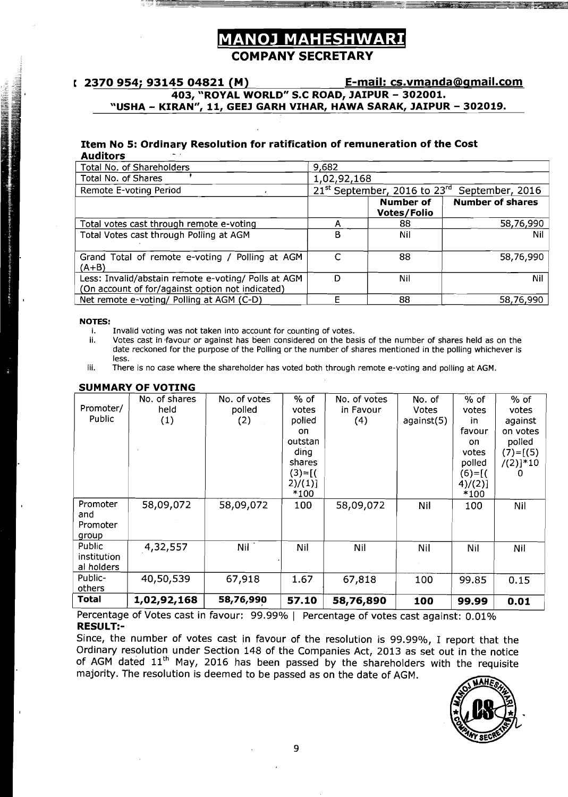## **MANOJ MAHESHWARI COMPANY SECRETARY**

### r **2370 954; 93145 04821 (M)** E-mail: cs.vmanda@gmail.com **403, "ROYAL WORLD" S.C ROAD, JAIPUR** - **302001. "USHA** - **KIRAN", 11, GEEJ GARH VIHAR, HAWA SARAK, JAIPUR** - **302019.**

#### **Item No 5: Ordinary Resolution for ratification of remuneration of the Cost Auditors** -.

| --------                                                                                                |             |                              |                         |
|---------------------------------------------------------------------------------------------------------|-------------|------------------------------|-------------------------|
| Total No. of Shareholders                                                                               | 9,682       |                              |                         |
| Total No. of Shares                                                                                     | 1,02,92,168 |                              |                         |
| Remote E-voting Period                                                                                  |             | 21st September, 2016 to 23rd | September, 2016         |
|                                                                                                         |             | Number of<br>Votes/Folio     | <b>Number of shares</b> |
| Total votes cast through remote e-voting                                                                |             | 88                           | 58,76,990               |
| Total Votes cast through Polling at AGM                                                                 | в           | Nil                          | Nil                     |
| Grand Total of remote e-voting / Polling at AGM<br>(A+B)                                                |             | 88                           | 58,76,990               |
| Less: Invalid/abstain remote e-voting/ Polls at AGM<br>(On account of for/against option not indicated) | D           | Nil                          | Nil                     |
| Net remote e-voting/ Polling at AGM (C-D)                                                               |             | 88                           | 58,76,990               |

## **NOTES:**

**The Communication of the Communication** 

- i. Invalid voting was not taken into account for counting of votes.<br>ii. Votes cast in favour or against has been considered on the bas
- Votes cast in favour or against has been considered on the basis of the number of shares held as on the date reckoned for the purpose of the Polling or the number of shares mentioned in the polling whichever is less.
- iii. There is no case where the shareholder has voted both through remote e-voting and polling at **AGM.**

|              | No. of shares | No. of votes | $%$ of     | No. of votes | No. of     | % of       | % of         |
|--------------|---------------|--------------|------------|--------------|------------|------------|--------------|
| Promoter/    | held          | polled       | votes      | in Favour    | Votes      | votes      | votes        |
| Public       | (1)           | (2)          | polled     | (4)          | against(5) | in.        | against      |
|              |               |              | on         |              |            | favour     | on votes     |
|              |               |              | outstan    |              |            | on.        | polled       |
|              |               |              | ding       |              |            | votes      | $(7) = [(5)$ |
|              |               |              | shares     |              |            | polled     | $/(2)]*10$   |
|              |               |              | $(3) = [($ |              |            | $(6) = [($ | $\Omega$     |
|              |               |              | $2)/(1)$ ] |              |            | 4)/(2)]    |              |
|              |               |              | $*100$     |              |            | $*100$     |              |
| Promoter     | 58,09,072     | 58,09,072    | 100        | 58,09,072    | Nil        | 100        | Nil          |
| and          |               |              |            |              |            |            |              |
| Promoter     |               |              |            |              |            |            |              |
| group        |               |              |            |              |            |            |              |
| Public       | 4,32,557      | Nil          | Nil        | Nil          | Nil        | Nil        | Nil          |
| institution  |               |              |            |              |            |            |              |
| al holders   |               |              |            |              |            |            |              |
| Public-      | 40,50,539     | 67,918       | 1.67       | 67,818       | 100        | 99.85      | 0.15         |
| others       |               |              |            |              |            |            |              |
| <b>Total</b> | 1,02,92,168   | 58,76,990    | 57.10      | 58,76,890    | 100        | 99.99      | 0.01         |

#### **SUMMARY OF VOTING**

Percentage of Votes cast in favour: 99.99% | Percentage of votes cast against: 0.01% **RESll LT:-** 

majority. The resolution is deemed to be passed as on the date of AGM. Since, the number of votes cast in favour of the resolution is 99.99%, I report that the Ordinary resolution under Section 148 of the Companies Act, 2013 as set out in the notice of AGM dated 11<sup>th</sup> May, 2016 has been passed by the shareholders with the requisite

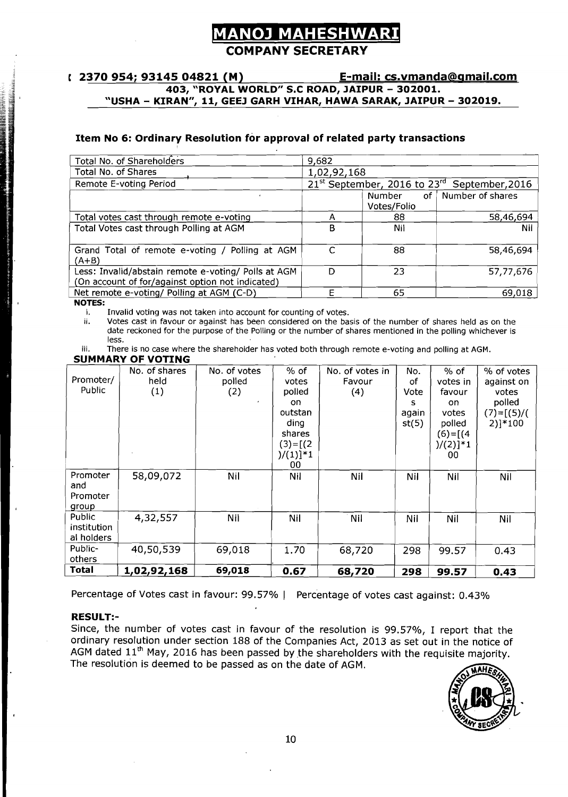## **OJ MAHESHW COMPANY SECRETARY**

## **403, "ROYAL WORLD" S.C ROAD, JAIPUR** - **302001.**  "USHA - KIRAN", 11, GEEJ GARH VIHAR, HAWA SARAK, JAIPUR - 302019.

#### **Item No 6: Ordinary Resolution for approval of related party transactions**

| Total No. of Shareholders                           | 9,682       |                |                                                                      |
|-----------------------------------------------------|-------------|----------------|----------------------------------------------------------------------|
| Total No. of Shares                                 | 1,02,92,168 |                |                                                                      |
|                                                     |             |                |                                                                      |
| Remote E-voting Period                              |             |                | 21 <sup>st</sup> September, 2016 to 23 <sup>rd</sup> September, 2016 |
|                                                     |             | of I<br>Number | Number of shares                                                     |
|                                                     |             | Votes/Folio    |                                                                      |
| Total votes cast through remote e-voting            |             | 88             | 58,46,694                                                            |
| Total Votes cast through Polling at AGM             | в           | Nil            | Nil                                                                  |
|                                                     |             |                |                                                                      |
| Grand Total of remote e-voting / Polling at AGM     | C           | 88             | 58,46,694                                                            |
| (A+B)                                               |             |                |                                                                      |
| Less: Invalid/abstain remote e-voting/ Polls at AGM | D           | 23             | 57,77,676                                                            |
| (On account of for/against option not indicated)    |             |                |                                                                      |
| Net remote e-voting/ Polling at AGM (C-D)           |             | 65             | 69,018                                                               |

**NOTES:** 

i. Invalid voting was not taken into account for counting of votes.<br>ii. Votes cast in favour or against has been considered on the ba

Votes cast in favour or against has been considered on the basis of the number of shares held as on the date reckoned for the purpose of the Polling or the number of shares mentioned in the polling whichever is less.

iii. There is no case where the shareholder has voted both through remote e-voting and polling at AGM.

|  |  | SUMMARY OF VOTING |  |
|--|--|-------------------|--|
|  |  |                   |  |

| ____<br>% of<br>No. of shares<br>No. of votes<br>No. of votes in<br>% of<br>% of votes<br>No.<br>Promoter/<br>held<br>polled<br>Favour<br>against on<br>votes<br>votes in<br>.of<br>Public<br>(1)<br>(2)<br>polled<br>(4)<br>Vote<br>favour<br>votes<br>polled<br>on.<br>on<br>$(7)=[(5)/($<br>outstan<br>votes<br>again<br>$2)$ ]*100<br>st(5)<br>polled<br>ding<br>$(6)=[(4)$<br>shares<br>$)/(2)^{1 \choose 1}$<br>$(3)=[(2)$<br>$)/(1)]$ *1<br>00 <sub>o</sub><br>00<br>58,09,072<br>Promoter<br>Nil<br>Nil<br>Nil<br>Nil<br>Nil<br>Nil<br>and<br>Promoter<br><u>group</u><br>Public<br>4,32,557<br>Nil<br>Nil<br>Nil<br>Nil<br>Nil<br>Nil |
|------------------------------------------------------------------------------------------------------------------------------------------------------------------------------------------------------------------------------------------------------------------------------------------------------------------------------------------------------------------------------------------------------------------------------------------------------------------------------------------------------------------------------------------------------------------------------------------------------------------------------------------------|
|                                                                                                                                                                                                                                                                                                                                                                                                                                                                                                                                                                                                                                                |
|                                                                                                                                                                                                                                                                                                                                                                                                                                                                                                                                                                                                                                                |
|                                                                                                                                                                                                                                                                                                                                                                                                                                                                                                                                                                                                                                                |
|                                                                                                                                                                                                                                                                                                                                                                                                                                                                                                                                                                                                                                                |
|                                                                                                                                                                                                                                                                                                                                                                                                                                                                                                                                                                                                                                                |
|                                                                                                                                                                                                                                                                                                                                                                                                                                                                                                                                                                                                                                                |
|                                                                                                                                                                                                                                                                                                                                                                                                                                                                                                                                                                                                                                                |
|                                                                                                                                                                                                                                                                                                                                                                                                                                                                                                                                                                                                                                                |
|                                                                                                                                                                                                                                                                                                                                                                                                                                                                                                                                                                                                                                                |
|                                                                                                                                                                                                                                                                                                                                                                                                                                                                                                                                                                                                                                                |
|                                                                                                                                                                                                                                                                                                                                                                                                                                                                                                                                                                                                                                                |
|                                                                                                                                                                                                                                                                                                                                                                                                                                                                                                                                                                                                                                                |
|                                                                                                                                                                                                                                                                                                                                                                                                                                                                                                                                                                                                                                                |
|                                                                                                                                                                                                                                                                                                                                                                                                                                                                                                                                                                                                                                                |
|                                                                                                                                                                                                                                                                                                                                                                                                                                                                                                                                                                                                                                                |
| institution                                                                                                                                                                                                                                                                                                                                                                                                                                                                                                                                                                                                                                    |
| al holders                                                                                                                                                                                                                                                                                                                                                                                                                                                                                                                                                                                                                                     |
| Public-<br>40,50,539<br>68,720<br>1.70<br>298<br>69,018<br>99.57<br>0.43                                                                                                                                                                                                                                                                                                                                                                                                                                                                                                                                                                       |
| others                                                                                                                                                                                                                                                                                                                                                                                                                                                                                                                                                                                                                                         |
| Total<br>69,018<br>1,02,92,168<br>0.67<br>68,720<br>298<br>99.57<br>0.43                                                                                                                                                                                                                                                                                                                                                                                                                                                                                                                                                                       |

Percentage of Votes cast in favour: 99.57% | Percentage of votes cast against: 0.43%

#### **RESULT:-**

Since, the number of votes cast in favour of the resolution is 99.57%, I report that the ordinary resolution under section 188 of the Companies Act, 2013 as set out in the notice of Since, the number of votes cast in favour of the resolution is 99.57%, I report that the ordinary resolution under section 188 of the Companies Act, 2013 as set out in the notice of AGM dated  $11^{\text{th}}$  May, 2016 has been The resolution is deemed to be passed as on the date of AGM.

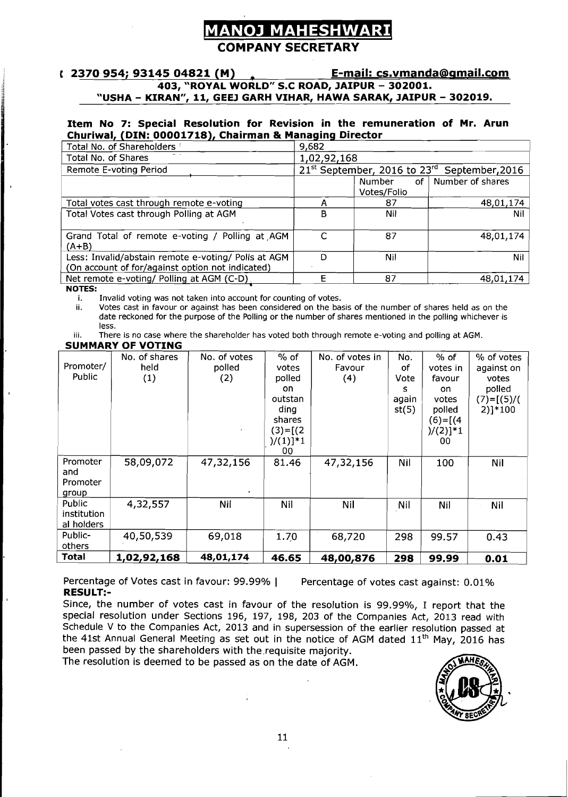# **VOJ MAHESHWA**

### **COMPANY SECRETARY**

#### **t 2370 954; 93145 04821 (M) E-mail: cs.vmanda@amail.com 403, "ROYAL WORLDr' S.C ROAD, JAIPUR** - **302001. "USHA** - **KIRAN", 11, GEEJ GARH VIHAR, HAWA SARAK, JAIPUR** - **302019.**

#### **Item No 7: Special Resolution for Revision in the remuneration of Mr. Arun Churiwal, (DIN: 00001718), Chairman** & **Managing Director**

| Total No. of Shareholders /                         | 9,682       |                                  |                                                                      |
|-----------------------------------------------------|-------------|----------------------------------|----------------------------------------------------------------------|
| Total No. of Shares                                 | 1,02,92,168 |                                  |                                                                      |
| Remote E-voting Period                              |             |                                  | 21 <sup>st</sup> September, 2016 to 23 <sup>rd</sup> September, 2016 |
|                                                     |             | of <sub>1</sub><br><b>Number</b> | Number of shares                                                     |
|                                                     |             | Votes/Folio                      |                                                                      |
| Total votes cast through remote e-voting            |             | 87                               | 48,01,174                                                            |
| Total Votes cast through Polling at AGM             | B           | Nil                              | Nil.                                                                 |
|                                                     |             |                                  |                                                                      |
| Grand Total of remote e-voting / Polling at AGM     |             | 87                               | 48,01,174                                                            |
| (A+B)                                               |             |                                  |                                                                      |
| Less: Invalid/abstain remote e-voting/ Polls at AGM | D           | Nil                              | Nil                                                                  |
| (On account of for/against option not indicated)    |             |                                  |                                                                      |
| Net remote e-voting/ Polling at AGM (C-D)           | F           | 87                               | 48,01,174                                                            |
| <b>NOTES:</b>                                       |             |                                  |                                                                      |

I  $\overline{\phantom{a}}$ 

i. Invalid voting was not taken into account for counting of votes.<br>ii. Votes cast in favour or against has been considered on the ba

Votes cast in favour or against has been considered on the basis of the number of shares held as on the date reckoned for the purpose of the Polling or the number of shares mentioned in the polling whichever is less.

iii. There is no case where the shareholder has voted both through remote e-voting and polling at AGM.

#### **SUMMARY OF VOTING**

| Promoter/<br>Public                  | No. of shares<br>held<br>(1) | No. of votes<br>polled<br>(2) | $%$ of<br>votes<br>polled<br>on.<br>outstan<br>dina<br>shares<br>$(3)=[(2)$<br>$)/(1)]$ *1<br>00 | No. of votes in<br>Favour<br>(4) | No.<br>оf<br>Vote<br>s<br>again<br>st(5) | $%$ of<br>votes in<br>favour<br>on.<br>votes<br>polled<br>(6)=[(4<br>$)/(2)]*1$<br>00 | % of votes<br>against on<br>votes<br>polled<br>$(7)=[(5)/($<br>$2)$ ]*100 |
|--------------------------------------|------------------------------|-------------------------------|--------------------------------------------------------------------------------------------------|----------------------------------|------------------------------------------|---------------------------------------------------------------------------------------|---------------------------------------------------------------------------|
| Promoter<br>and<br>Promoter<br>group | 58,09,072                    | 47,32,156<br>$\bullet$        | 81.46                                                                                            | 47,32,156                        | Nil                                      | 100                                                                                   | Nil                                                                       |
| Public<br>institution<br>al holders  | 4,32,557                     | Nil                           | Nil                                                                                              | Nil                              | Nil                                      | Nil                                                                                   | Nil                                                                       |
| Public-<br>others                    | 40,50,539                    | 69,018                        | 1.70                                                                                             | 68,720                           | 298                                      | 99.57                                                                                 | 0.43                                                                      |
| Total                                | 1,02,92,168                  | 48,01,174                     | 46.65                                                                                            | 48,00,876                        | 298                                      | 99.99                                                                                 | 0.01                                                                      |

Percentage of Votes cast in favour: 99.99% | Percentage of votes cast against: 0.01% **RESULT:-** 

Since, the number of votes cast in favour of the resolution is 99.99%, I report that the special resolution under Sections 196, 197, 198, 203 of the Companies Act, 2013 read with Schedule V to the Companies Act, 2013 and in supersession of the earlier resolution passed at special resolution under Sections 196, 197, 198, 203 of the Companies Act, 2013 read with<br>Schedule V to the Companies Act, 2013 and in supersession of the earlier resolution passed at<br>the 41st Annual General Meeting as set been passed by the shareholders with the.requisite majority.

The resolution is deemed to be passed as on the date of AGM.

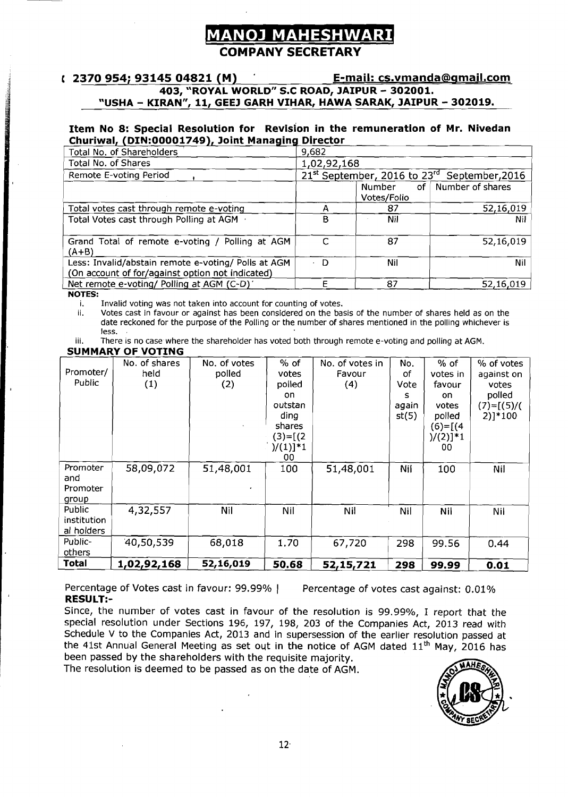#### **COMPANY SECRETARY**

# **E-mail: cs.vmanda@clrnail.com a** 403, "ROYAL WORLD" S.C ROAD, JAIPUR – 302001.<br> **a** 403, "ROYAL WORLD" S.C ROAD, JAIPUR – 302001.<br> **a** 403, "ROYAL WORLD" S.C ROAD, JAIPUR – 302001.<br> **a** 103, "ROYAL WORLD" S.C ROAD, JAIPUR – 302001.<br> **E-mail: cS.ymandi "USHA** - **KIRAN", 11, GEEJ GARH VIHAR, HAWA SARAK, JAIPUR** - **302019.**

#### **Item No 8: Special Resolution for Revision in the remuneration of Mr. Nivedan Churiwal, (DIN:00001749), Joint Managing Director**

| 2370 934, 93143 04821 (M)                                                                                                          |             |                              | <u>ь плать сэтипациа@чтан.com</u>                                    |
|------------------------------------------------------------------------------------------------------------------------------------|-------------|------------------------------|----------------------------------------------------------------------|
| 403, "ROYAL WORLD" S.C ROAD, JAIPUR - 302001.<br>"USHA - KIRAN", 11, GEEJ GARH VIHAR, HAWA SARAK, JAIPUR - 302019.                 |             |                              |                                                                      |
| Item No 8: Special Resolution for Revision in the remuneration of Mr. Nivedan<br>Churiwal, (DIN:00001749), Joint Managing Director |             |                              |                                                                      |
| Total No. of Shareholders                                                                                                          | 9,682       |                              |                                                                      |
| Total No. of Shares                                                                                                                | 1,02,92,168 |                              |                                                                      |
| Remote E-voting Period                                                                                                             |             |                              | 21 <sup>st</sup> September, 2016 to 23 <sup>rd</sup> September, 2016 |
|                                                                                                                                    |             | <b>Number</b><br>Votes/Folio | of   Number of shares                                                |
| Total votes cast through remote e-voting                                                                                           | A           | 87                           | 52,16,019                                                            |
| Total Votes cast through Polling at AGM +                                                                                          | B           | Nil                          | Nil.                                                                 |
| Grand Total of remote e-voting / Polling at AGM<br>$(A+B)$                                                                         | $\subset$   | 87                           | 52,16,019                                                            |
| Less: Invalid/abstain remote e-voting/ Polls at AGM<br>(On account of for/against option not indicated)                            | D           | Nil                          | Nil                                                                  |
| Net remote e-voting/ Polling at AGM (C-D)                                                                                          | Е           | 87                           | 52,16,019                                                            |
| <b>NOTES:</b>                                                                                                                      |             |                              |                                                                      |

i. Invalid voting was not taken into account for counting of votes.<br>ii. Votes cast in favour or against has been considered on the ba

Votes cast in favour or against has been considered on the basis of the number of shares held as on the date reckoned for the purpose of the Polling or the number of shares mentioned in the polling whichever is less.

iii. There is no case where the shareholder has voted both through remote e-voting and polling at AGM.

#### **SUMMARY OF VOTING**

|                                                        |                                                               |                                                                                           |                  |                                               | votes                                                                                                                                                                                         |
|--------------------------------------------------------|---------------------------------------------------------------|-------------------------------------------------------------------------------------------|------------------|-----------------------------------------------|-----------------------------------------------------------------------------------------------------------------------------------------------------------------------------------------------|
|                                                        |                                                               |                                                                                           |                  |                                               | polled                                                                                                                                                                                        |
|                                                        |                                                               |                                                                                           |                  |                                               |                                                                                                                                                                                               |
|                                                        |                                                               |                                                                                           |                  |                                               |                                                                                                                                                                                               |
|                                                        |                                                               |                                                                                           |                  |                                               |                                                                                                                                                                                               |
|                                                        |                                                               |                                                                                           |                  |                                               |                                                                                                                                                                                               |
|                                                        |                                                               |                                                                                           |                  |                                               |                                                                                                                                                                                               |
|                                                        |                                                               |                                                                                           |                  |                                               |                                                                                                                                                                                               |
|                                                        |                                                               |                                                                                           |                  |                                               |                                                                                                                                                                                               |
|                                                        |                                                               |                                                                                           |                  |                                               |                                                                                                                                                                                               |
|                                                        |                                                               |                                                                                           |                  |                                               |                                                                                                                                                                                               |
|                                                        |                                                               |                                                                                           |                  |                                               |                                                                                                                                                                                               |
|                                                        |                                                               |                                                                                           |                  |                                               |                                                                                                                                                                                               |
|                                                        |                                                               |                                                                                           |                  |                                               |                                                                                                                                                                                               |
|                                                        |                                                               |                                                                                           |                  |                                               |                                                                                                                                                                                               |
|                                                        |                                                               |                                                                                           | <b>Nil</b>       |                                               |                                                                                                                                                                                               |
|                                                        |                                                               |                                                                                           |                  |                                               |                                                                                                                                                                                               |
|                                                        |                                                               |                                                                                           |                  |                                               |                                                                                                                                                                                               |
|                                                        |                                                               |                                                                                           |                  |                                               |                                                                                                                                                                                               |
|                                                        |                                                               |                                                                                           |                  |                                               |                                                                                                                                                                                               |
|                                                        |                                                               |                                                                                           |                  |                                               |                                                                                                                                                                                               |
|                                                        |                                                               |                                                                                           |                  |                                               |                                                                                                                                                                                               |
| $1,02,92,168$ 52,16,019 50.68 52,15,721 298 99.99 0.01 |                                                               |                                                                                           |                  |                                               |                                                                                                                                                                                               |
| No. of shares<br>58,09,072<br>$-4,32,557$<br>40,50,539 | No. of votes<br>polled<br>(2)<br>51,48,001<br>- Nil<br>68,018 | % of<br>votes<br>polled<br>outstar<br>ding<br>shares<br>$(3)=[(2)$<br>100<br>Nil.<br>1.70 | Favour<br>67,720 | Vote  <br>$ $ again $ $<br>st(5)<br>51,48,001 | No. of votes in No. 3 % of % of votes<br>votes in   against on<br>favour<br>votes $(7)=[(5)/(100)]*100$<br>$(6)=[(4)$<br>$ $ )/(2)]**<br>  Nil   100   Nil<br>$Nil$ $Nil$<br>$298$ 99.56 0.44 |

Percentage of Votes cast in favour: 99.99% | Percentage of votes cast against: 0.01% **RESULT:-** 

Since, the number of votes cast in favour of the resolution is 99.99%, I report that the special resolution under Sections 196, 197, 198, 203 of the Companies Act, 2013 read with Schedule V to the Companies Act, 2013 and in supersession of the earlier resolution passed at the 41st Annual General Meeting as set out in the notice of AGM dated  $11<sup>th</sup>$  May, 2016 has been passed by the shareholders with the requisite majority.

The resolution is deemed to be passed as on the date of AGM.